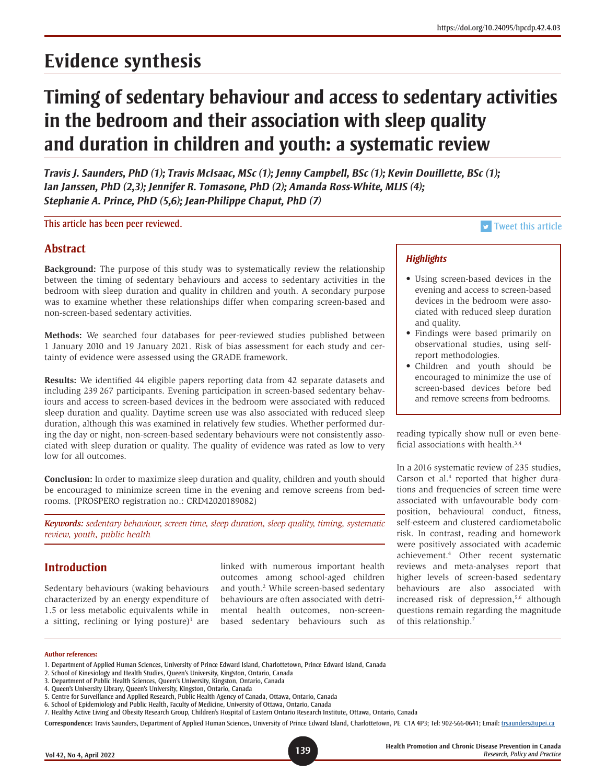# **Timing of sedentary behaviour and access to sedentary activities in the bedroom and their association with sleep quality and duration in children and youth: a systematic review**

*Travis J. Saunders, PhD (1); Travis McIsaac, MSc (1); Jenny Campbell, BSc (1); Kevin Douillette, BSc (1); Ian Janssen, PhD (2,3); Jennifer R. Tomasone, PhD (2); Amanda Ross-White, MLIS (4); Stephanie A. Prince, PhD (5,6); Jean-Philippe Chaput, PhD (7)*

This article has been peer reviewed. This article is a structure of the structure of the structure of the structure of the structure of the structure of the structure of the structure of the structure of the structure of t

# **Abstract**

**Background:** The purpose of this study was to systematically review the relationship between the timing of sedentary behaviours and access to sedentary activities in the bedroom with sleep duration and quality in children and youth. A secondary purpose was to examine whether these relationships differ when comparing screen-based and non-screen-based sedentary activities.

**Methods:** We searched four databases for peer-reviewed studies published between 1 January 2010 and 19 January 2021. Risk of bias assessment for each study and certainty of evidence were assessed using the GRADE framework.

**Results:** We identified 44 eligible papers reporting data from 42 separate datasets and including 239 267 participants. Evening participation in screen-based sedentary behaviours and access to screen-based devices in the bedroom were associated with reduced sleep duration and quality. Daytime screen use was also associated with reduced sleep duration, although this was examined in relatively few studies. Whether performed during the day or night, non-screen-based sedentary behaviours were not consistently associated with sleep duration or quality. The quality of evidence was rated as low to very low for all outcomes.

**Conclusion:** In order to maximize sleep duration and quality, children and youth should be encouraged to minimize screen time in the evening and remove screens from bedrooms. (PROSPERO registration no.: CRD42020189082)

*Keywords: sedentary behaviour, screen time, sleep duration, sleep quality, timing, systematic review, youth, public health*

# **Introduction**

Sedentary behaviours (waking behaviours characterized by an energy expenditure of 1.5 or less metabolic equivalents while in a sitting, reclining or lying posture) $1$  are linked with numerous important health outcomes among school-aged children and youth.<sup>2</sup> While screen-based sedentary behaviours are often associated with detrimental health outcomes, non-screenbased sedentary behaviours such as

# *Highlights*

- Using screen-based devices in the evening and access to screen-based devices in the bedroom were associated with reduced sleep duration and quality.
- Findings were based primarily on observational studies, using selfreport methodologies.
- Children and youth should be encouraged to minimize the use of screen-based devices before bed and remove screens from bedrooms.

reading typically show null or even beneficial associations with health.3,4

In a 2016 systematic review of 235 studies, Carson et al.<sup>4</sup> reported that higher durations and frequencies of screen time were associated with unfavourable body composition, behavioural conduct, fitness, self-esteem and clustered cardiometabolic risk. In contrast, reading and homework were positively associated with academic achievement.4 Other recent systematic reviews and meta-analyses report that higher levels of screen-based sedentary behaviours are also associated with increased risk of depression,<sup>5,6</sup> although questions remain regarding the magnitude of this relationship.7

#### **Author references:**

2. School of Kinesiology and Health Studies, Queen's University, Kingston, Ontario, Canada

<sup>1.</sup> Department of Applied Human Sciences, University of Prince Edward Island, Charlottetown, Prince Edward Island, Canada

<sup>3.</sup> Department of Public Health Sciences, Queen's University, Kingston, Ontario, Canada

<sup>4.</sup> Queen's University Library, Queen's University, Kingston, Ontario, Canada

<sup>5.</sup> Centre for Surveillance and Applied Research, Public Health Agency of Canada, Ottawa, Ontario, Canada

<sup>6.</sup> School of Epidemiology and Public Health, Faculty of Medicine, University of Ottawa, Ontario, Canada

<sup>7.</sup> Healthy Active Living and Obesity Research Group, Children's Hospital of Eastern Ontario Research Institute, Ottawa, Ontario, Canada

Correspondence: Travis Saunders, Department of Applied Human Sciences, University of Prince Edward Island, Charlottetown, PE C1A 4P3; Tel: 902-566-0641; Email: [trsaunders@upei.ca](mailto:trsaunders%40upei.ca?subject=)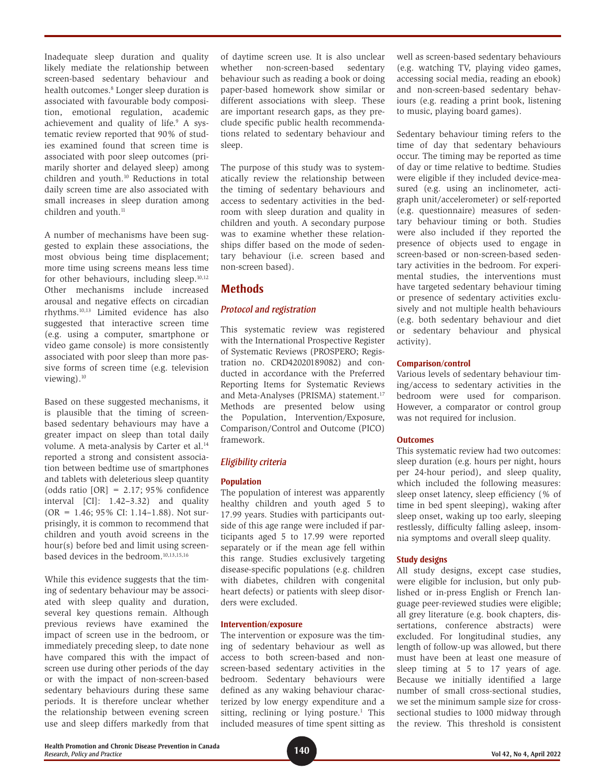Inadequate sleep duration and quality likely mediate the relationship between screen-based sedentary behaviour and health outcomes.<sup>8</sup> Longer sleep duration is associated with favourable body composition, emotional regulation, academic achievement and quality of life.<sup>9</sup> A systematic review reported that 90% of studies examined found that screen time is associated with poor sleep outcomes (primarily shorter and delayed sleep) among children and youth.<sup>10</sup> Reductions in total daily screen time are also associated with small increases in sleep duration among children and youth.<sup>11</sup>

A number of mechanisms have been suggested to explain these associations, the most obvious being time displacement; more time using screens means less time for other behaviours, including sleep.<sup>10,12</sup> Other mechanisms include increased arousal and negative effects on circadian rhythms.10,13 Limited evidence has also suggested that interactive screen time (e.g. using a computer, smartphone or video game console) is more consistently associated with poor sleep than more passive forms of screen time (e.g. television viewing).<sup>10</sup>

Based on these suggested mechanisms, it is plausible that the timing of screenbased sedentary behaviours may have a greater impact on sleep than total daily volume. A meta-analysis by Carter et al.<sup>14</sup> reported a strong and consistent association between bedtime use of smartphones and tablets with deleterious sleep quantity (odds ratio  $[OR] = 2.17; 95\%$  confidence interval [CI]: 1.42–3.32) and quality  $(OR = 1.46; 95\% CI: 1.14-1.88)$ . Not surprisingly, it is common to recommend that children and youth avoid screens in the hour(s) before bed and limit using screenbased devices in the bedroom.<sup>10,13,15,16</sup>

While this evidence suggests that the timing of sedentary behaviour may be associated with sleep quality and duration, several key questions remain. Although previous reviews have examined the impact of screen use in the bedroom, or immediately preceding sleep, to date none have compared this with the impact of screen use during other periods of the day or with the impact of non-screen-based sedentary behaviours during these same periods. It is therefore unclear whether the relationship between evening screen use and sleep differs markedly from that of daytime screen use. It is also unclear whether non-screen-based sedentary behaviour such as reading a book or doing paper-based homework show similar or different associations with sleep. These are important research gaps, as they preclude specific public health recommendations related to sedentary behaviour and sleep.

The purpose of this study was to systematically review the relationship between the timing of sedentary behaviours and access to sedentary activities in the bedroom with sleep duration and quality in children and youth. A secondary purpose was to examine whether these relationships differ based on the mode of sedentary behaviour (i.e. screen based and non-screen based).

# **Methods**

# *Protocol and registration*

This systematic review was registered with the International Prospective Register of Systematic Reviews (PROSPERO; Registration no. CRD42020189082) and conducted in accordance with the Preferred Reporting Items for Systematic Reviews and Meta-Analyses (PRISMA) statement.<sup>17</sup> Methods are presented below using the Population, Intervention/Exposure, Comparison/Control and Outcome (PICO) framework.

# *Eligibility criteria*

#### **Population**

The population of interest was apparently healthy children and youth aged 5 to 17.99 years. Studies with participants outside of this age range were included if participants aged 5 to 17.99 were reported separately or if the mean age fell within this range. Studies exclusively targeting disease-specific populations (e.g. children with diabetes, children with congenital heart defects) or patients with sleep disorders were excluded.

#### **Intervention/exposure**

The intervention or exposure was the timing of sedentary behaviour as well as access to both screen-based and nonscreen-based sedentary activities in the bedroom. Sedentary behaviours were defined as any waking behaviour characterized by low energy expenditure and a sitting, reclining or lying posture.<sup>1</sup> This included measures of time spent sitting as

well as screen-based sedentary behaviours (e.g. watching TV, playing video games, accessing social media, reading an ebook) and non-screen-based sedentary behaviours (e.g. reading a print book, listening to music, playing board games).

Sedentary behaviour timing refers to the time of day that sedentary behaviours occur. The timing may be reported as time of day or time relative to bedtime. Studies were eligible if they included device-measured (e.g. using an inclinometer, actigraph unit/accelerometer) or self-reported (e.g. questionnaire) measures of sedentary behaviour timing or both. Studies were also included if they reported the presence of objects used to engage in screen-based or non-screen-based sedentary activities in the bedroom. For experimental studies, the interventions must have targeted sedentary behaviour timing or presence of sedentary activities exclusively and not multiple health behaviours (e.g. both sedentary behaviour and diet or sedentary behaviour and physical activity).

#### **Comparison/control**

Various levels of sedentary behaviour timing/access to sedentary activities in the bedroom were used for comparison. However, a comparator or control group was not required for inclusion.

#### **Outcomes**

This systematic review had two outcomes: sleep duration (e.g. hours per night, hours per 24-hour period), and sleep quality, which included the following measures: sleep onset latency, sleep efficiency (% of time in bed spent sleeping), waking after sleep onset, waking up too early, sleeping restlessly, difficulty falling asleep, insomnia symptoms and overall sleep quality.

#### **Study designs**

All study designs, except case studies, were eligible for inclusion, but only published or in-press English or French language peer-reviewed studies were eligible; all grey literature (e.g. book chapters, dissertations, conference abstracts) were excluded. For longitudinal studies, any length of follow-up was allowed, but there must have been at least one measure of sleep timing at 5 to 17 years of age. Because we initially identified a large number of small cross-sectional studies, we set the minimum sample size for crosssectional studies to 1000 midway through the review. This threshold is consistent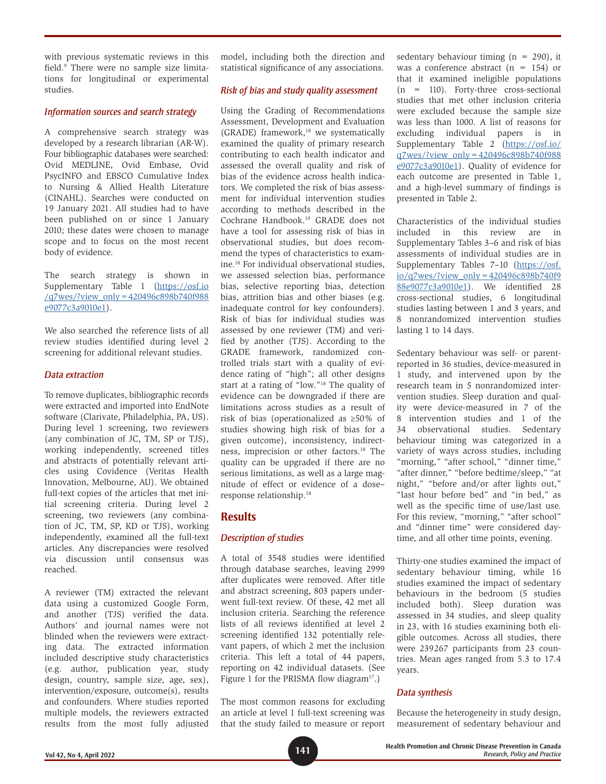with previous systematic reviews in this field.9 There were no sample size limitations for longitudinal or experimental studies.

#### *Information sources and search strategy*

A comprehensive search strategy was developed by a research librarian (AR-W). Four bibliographic databases were searched: Ovid MEDLINE, Ovid Embase, Ovid PsycINFO and EBSCO Cumulative Index to Nursing & Allied Health Literature (CINAHL). Searches were conducted on 19 January 2021. All studies had to have been published on or since 1 January 2010; these dates were chosen to manage scope and to focus on the most recent body of evidence.

The search strategy is shown in Supplementary Table 1 ([https://osf.io](https://osf.io/q7wes/?view_only=420496c898b740f988e9077c3a9010e1) [/q7wes/?view\\_only=420496c898b740f988](https://osf.io/q7wes/?view_only=420496c898b740f988e9077c3a9010e1) [e9077c3a9010e1](https://osf.io/q7wes/?view_only=420496c898b740f988e9077c3a9010e1)).

We also searched the reference lists of all review studies identified during level 2 screening for additional relevant studies.

#### *Data extraction*

To remove duplicates, bibliographic records were extracted and imported into EndNote software (Clarivate, Philadelphia, PA, US). During level 1 screening, two reviewers (any combination of JC, TM, SP or TJS), working independently, screened titles and abstracts of potentially relevant articles using Covidence (Veritas Health Innovation, Melbourne, AU). We obtained full-text copies of the articles that met initial screening criteria. During level 2 screening, two reviewers (any combination of JC, TM, SP, KD or TJS), working independently, examined all the full-text articles. Any discrepancies were resolved via discussion until consensus was reached.

A reviewer (TM) extracted the relevant data using a customized Google Form, and another (TJS) verified the data. Authors' and journal names were not blinded when the reviewers were extracting data. The extracted information included descriptive study characteristics (e.g. author, publication year, study design, country, sample size, age, sex), intervention/exposure, outcome(s), results and confounders. Where studies reported multiple models, the reviewers extracted results from the most fully adjusted model, including both the direction and statistical significance of any associations.

#### *Risk of bias and study quality assessment*

Using the Grading of Recommendations Assessment, Development and Evaluation (GRADE) framework,<sup>18</sup> we systematically examined the quality of primary research contributing to each health indicator and assessed the overall quality and risk of bias of the evidence across health indicators. We completed the risk of bias assessment for individual intervention studies according to methods described in the Cochrane Handbook.19 GRADE does not have a tool for assessing risk of bias in observational studies, but does recommend the types of characteristics to examine.18 For individual observational studies, we assessed selection bias, performance bias, selective reporting bias, detection bias, attrition bias and other biases (e.g. inadequate control for key confounders). Risk of bias for individual studies was assessed by one reviewer (TM) and verified by another (TJS). According to the GRADE framework, randomized controlled trials start with a quality of evidence rating of "high"; all other designs start at a rating of "low."18 The quality of evidence can be downgraded if there are limitations across studies as a result of risk of bias (operationalized as ≥50% of studies showing high risk of bias for a given outcome), inconsistency, indirectness, imprecision or other factors.18 The quality can be upgraded if there are no serious limitations, as well as a large magnitude of effect or evidence of a dose– response relationship.18

# **Results**

#### *Description of studies*

A total of 3548 studies were identified through database searches, leaving 2999 after duplicates were removed. After title and abstract screening, 803 papers underwent full-text review. Of these, 42 met all inclusion criteria. Searching the reference lists of all reviews identified at level 2 screening identified 132 potentially relevant papers, of which 2 met the inclusion criteria. This left a total of 44 papers, reporting on 42 individual datasets. (See Figure 1 for the PRISMA flow diagram<sup>17</sup>.)

The most common reasons for excluding an article at level 1 full-text screening was that the study failed to measure or report sedentary behaviour timing  $(n = 290)$ , it was a conference abstract  $(n = 154)$  or that it examined ineligible populations  $(n = 110)$ . Forty-three cross-sectional studies that met other inclusion criteria were excluded because the sample size was less than 1000. A list of reasons for excluding individual papers is in Supplementary Table 2 ([https://osf.io/](https://osf.io/q7wes/?view_only=420496c898b740f988e9077c3a9010e1) [q7wes/?view\\_only=420496c898b740f988](https://osf.io/q7wes/?view_only=420496c898b740f988e9077c3a9010e1) [e9077c3a9010e1](https://osf.io/q7wes/?view_only=420496c898b740f988e9077c3a9010e1)). Quality of evidence for each outcome are presented in Table 1, and a high-level summary of findings is presented in Table 2.

Characteristics of the individual studies included in this review are in Supplementary Tables 3–6 and risk of bias assessments of individual studies are in Supplementary Tables 7–10 [\(https://osf.](https://osf.io/q7wes/?view_only=420496c898b740f988e9077c3a9010e1) [io/q7wes/?view\\_only=420496c898b740f9](https://osf.io/q7wes/?view_only=420496c898b740f988e9077c3a9010e1) [88e9077c3a9010e1\)](https://osf.io/q7wes/?view_only=420496c898b740f988e9077c3a9010e1). We identified 28 cross-sectional studies, 6 longitudinal studies lasting between 1 and 3 years, and 8 nonrandomized intervention studies lasting 1 to 14 days.

Sedentary behaviour was self- or parentreported in 36 studies, device-measured in 1 study, and intervened upon by the research team in 5 nonrandomized intervention studies. Sleep duration and quality were device-measured in 7 of the 8 intervention studies and 1 of the 34 observational studies. Sedentary behaviour timing was categorized in a variety of ways across studies, including "morning," "after school," "dinner time," "after dinner," "before bedtime/sleep," "at night," "before and/or after lights out," "last hour before bed" and "in bed," as well as the specific time of use/last use. For this review, "morning," "after school" and "dinner time" were considered daytime, and all other time points, evening.

Thirty-one studies examined the impact of sedentary behaviour timing, while 16 studies examined the impact of sedentary behaviours in the bedroom (5 studies included both). Sleep duration was assessed in 34 studies, and sleep quality in 23, with 16 studies examining both eligible outcomes. Across all studies, there were 239267 participants from 23 countries. Mean ages ranged from 5.3 to 17.4 years.

#### *Data synthesis*

Because the heterogeneity in study design, measurement of sedentary behaviour and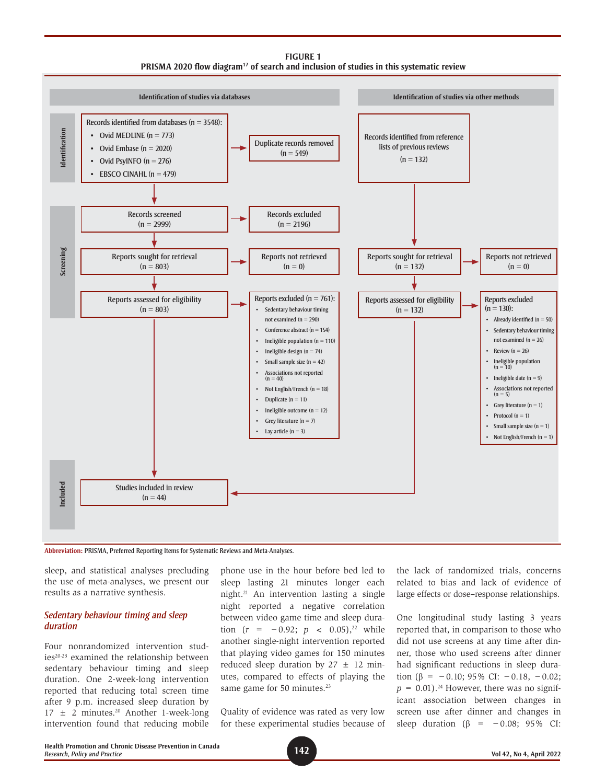**FIGURE 1 PRISMA 2020 flow diagram17 of search and inclusion of studies in this systematic review**





sleep, and statistical analyses precluding the use of meta-analyses, we present our results as a narrative synthesis.

#### *Sedentary behaviour timing and sleep duration*

Four nonrandomized intervention studies<sup>20-23</sup> examined the relationship between sedentary behaviour timing and sleep duration. One 2-week-long intervention reported that reducing total screen time after 9 p.m. increased sleep duration by  $17 \pm 2$  minutes.<sup>20</sup> Another 1-week-long intervention found that reducing mobile phone use in the hour before bed led to sleep lasting 21 minutes longer each night.21 An intervention lasting a single night reported a negative correlation between video game time and sleep duration  $(r = -0.92; p < 0.05)$ ,<sup>22</sup> while another single-night intervention reported that playing video games for 150 minutes reduced sleep duration by  $27 \pm 12$  minutes, compared to effects of playing the same game for 50 minutes.<sup>23</sup>

Quality of evidence was rated as very low for these experimental studies because of

the lack of randomized trials, concerns related to bias and lack of evidence of large effects or dose–response relationships.

One longitudinal study lasting 3 years reported that, in comparison to those who did not use screens at any time after dinner, those who used screens after dinner had significant reductions in sleep duration ( $\beta$  = −0.10; 95% CI: −0.18, −0.02;  $p = 0.01$ ).<sup>24</sup> However, there was no significant association between changes in screen use after dinner and changes in sleep duration ( $\beta$  = −0.08; 95% CI: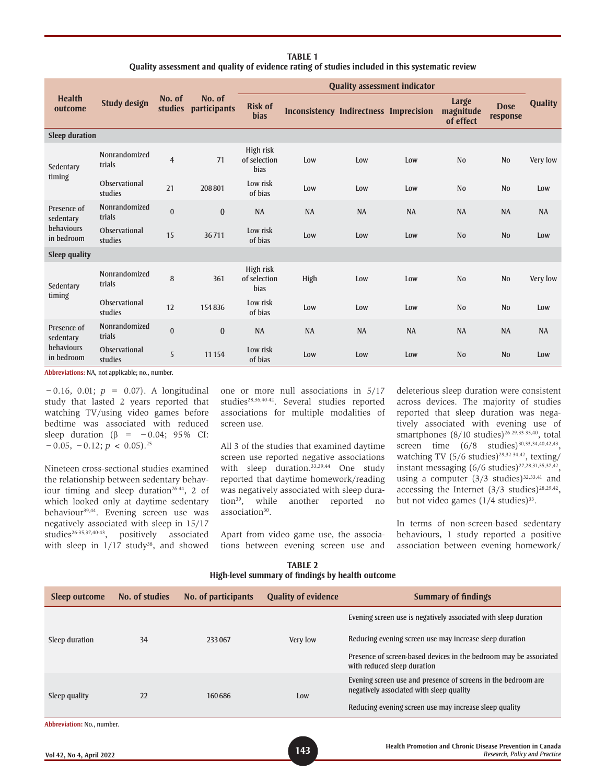| <b>TABLE 1</b>                                                                                  |
|-------------------------------------------------------------------------------------------------|
| Quality assessment and quality of evidence rating of studies included in this systematic review |

|                                                             | <b>Study design</b>      | No. of<br><b>studies</b> | No. of<br>participants | <b>Quality assessment indicator</b> |                                               |           |           |                                 |                         |                |
|-------------------------------------------------------------|--------------------------|--------------------------|------------------------|-------------------------------------|-----------------------------------------------|-----------|-----------|---------------------------------|-------------------------|----------------|
| <b>Health</b><br>outcome                                    |                          |                          |                        | <b>Risk of</b><br><b>bias</b>       | <b>Inconsistency Indirectness Imprecision</b> |           |           | Large<br>magnitude<br>of effect | <b>Dose</b><br>response | <b>Quality</b> |
| <b>Sleep duration</b>                                       |                          |                          |                        |                                     |                                               |           |           |                                 |                         |                |
| Sedentary<br>timing                                         | Nonrandomized<br>trials  | $\overline{4}$           | 71                     | High risk<br>of selection<br>bias   | Low                                           | Low       | Low       | N <sub>0</sub>                  | N <sub>0</sub>          | Very low       |
|                                                             | Observational<br>studies | 21                       | 208801                 | Low risk<br>of bias                 | Low                                           | Low       | Low       | N <sub>0</sub>                  | N <sub>0</sub>          | Low            |
| Presence of<br>sedentary<br><b>behaviours</b><br>in bedroom | Nonrandomized<br>trials  | $\bf{0}$                 | $\bf{0}$               | <b>NA</b>                           | <b>NA</b>                                     | <b>NA</b> | <b>NA</b> | <b>NA</b>                       | <b>NA</b>               | <b>NA</b>      |
|                                                             | Observational<br>studies | 15                       | 36711                  | Low risk<br>of bias                 | Low                                           | Low       | Low       | N <sub>0</sub>                  | N <sub>0</sub>          | Low            |
| <b>Sleep quality</b>                                        |                          |                          |                        |                                     |                                               |           |           |                                 |                         |                |
| Sedentary<br>timing                                         | Nonrandomized<br>trials  | 8                        | 361                    | High risk<br>of selection<br>bias   | High                                          | Low       | Low       | N <sub>0</sub>                  | N <sub>0</sub>          | Very low       |
|                                                             | Observational<br>studies | 12                       | 154836                 | Low risk<br>of bias                 | Low                                           | Low       | Low       | N <sub>0</sub>                  | N <sub>0</sub>          | Low            |
| Presence of<br>sedentary<br>behaviours<br>in bedroom        | Nonrandomized<br>trials  | $\bf{0}$                 | $\bf{0}$               | <b>NA</b>                           | <b>NA</b>                                     | <b>NA</b> | <b>NA</b> | <b>NA</b>                       | <b>NA</b>               | <b>NA</b>      |
|                                                             | Observational<br>studies | 5                        | 11154                  | Low risk<br>of bias                 | Low                                           | Low       | Low       | N <sub>0</sub>                  | N <sub>0</sub>          | Low            |

**Abbreviations:** NA, not applicable; no., number.

−0.16, 0.01; *p* = 0.07). A longitudinal study that lasted 2 years reported that watching TV/using video games before bedtime was associated with reduced sleep duration ( $\beta$  = -0.04; 95% CI:  $-0.05, -0.12; p < 0.05$ <sup>25</sup>

Nineteen cross-sectional studies examined the relationship between sedentary behaviour timing and sleep duration<sup>26-44</sup>, 2 of which looked only at daytime sedentary behaviour<sup>39,44</sup>. Evening screen use was negatively associated with sleep in 15/17 studies<sup>26-35,37,40-43</sup>, positively associated with sleep in  $1/17$  study<sup>38</sup>, and showed one or more null associations in 5/17 studies<sup>28,36,40-42</sup>. Several studies reported associations for multiple modalities of screen use.

All 3 of the studies that examined daytime screen use reported negative associations with sleep duration.<sup>33,39,44</sup> One study reported that daytime homework/reading was negatively associated with sleep duration<sup>39</sup>, while another reported no association<sup>30</sup>.

Apart from video game use, the associations between evening screen use and

deleterious sleep duration were consistent across devices. The majority of studies reported that sleep duration was negatively associated with evening use of smartphones  $(8/10 \text{ studies})^{26-29,33-35,40}$ , total screen time  $(6/8 \text{ studies})^{30,33,34,40,42,43}$ , watching TV (5/6 studies)<sup>29,32-34,42</sup>, texting/ instant messaging  $(6/6 \text{ studies})^{27,28,31,35,37,42}$ , using a computer  $(3/3 \times 10^{32})^{32,33,41}$  and accessing the Internet  $(3/3 \text{ studies})^{28,29,42}$ , but not video games  $(1/4 \text{ studies})^{33}$ .

In terms of non-screen-based sedentary behaviours, 1 study reported a positive association between evening homework/

**TABLE 2 High-level summary of findings by health outcome**

| <b>Sleep outcome</b>       | No. of studies | No. of participants | <b>Quality of evidence</b> | <b>Summary of findings</b>                                                                                |  |  |
|----------------------------|----------------|---------------------|----------------------------|-----------------------------------------------------------------------------------------------------------|--|--|
|                            |                |                     |                            | Evening screen use is negatively associated with sleep duration                                           |  |  |
| Sleep duration             | 34             | 233067              | Very low                   | Reducing evening screen use may increase sleep duration                                                   |  |  |
|                            |                |                     |                            | Presence of screen-based devices in the bedroom may be associated<br>with reduced sleep duration          |  |  |
| Sleep quality              | 22             | 160686              | Low                        | Evening screen use and presence of screens in the bedroom are<br>negatively associated with sleep quality |  |  |
|                            |                |                     |                            | Reducing evening screen use may increase sleep quality                                                    |  |  |
| Abbreviation: No., number. |                |                     |                            |                                                                                                           |  |  |
|                            |                |                     |                            | the did, masses it as seed character place or masses that is consider                                     |  |  |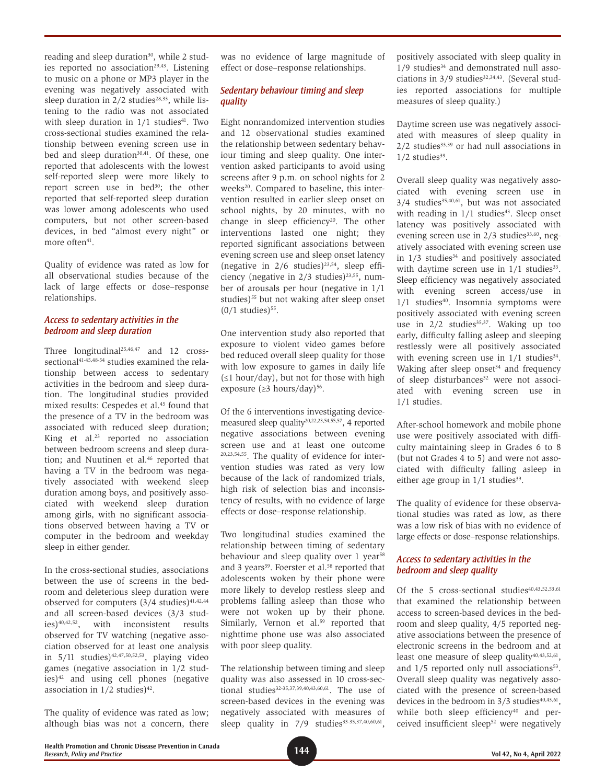reading and sleep duration<sup>30</sup>, while 2 studies reported no association<sup>29,43</sup>. Listening to music on a phone or MP3 player in the evening was negatively associated with sleep duration in  $2/2$  studies<sup>28,33</sup>, while listening to the radio was not associated with sleep duration in  $1/1$  studies<sup>41</sup>. Two cross-sectional studies examined the relationship between evening screen use in bed and sleep duration<sup>30,41</sup>. Of these, one reported that adolescents with the lowest self-reported sleep were more likely to report screen use in bed<sup>30</sup>; the other reported that self-reported sleep duration was lower among adolescents who used computers, but not other screen-based devices, in bed "almost every night" or more often<sup>41</sup>.

Quality of evidence was rated as low for all observational studies because of the lack of large effects or dose–response relationships.

#### *Access to sedentary activities in the bedroom and sleep duration*

Three longitudinal<sup>25,46,47</sup> and 12 crosssectional<sup>41-45,48-54</sup> studies examined the relationship between access to sedentary activities in the bedroom and sleep duration. The longitudinal studies provided mixed results: Cespedes et al.<sup>45</sup> found that the presence of a TV in the bedroom was associated with reduced sleep duration; King et al.23 reported no association between bedroom screens and sleep duration; and Nuutinen et al.<sup>46</sup> reported that having a TV in the bedroom was negatively associated with weekend sleep duration among boys, and positively associated with weekend sleep duration among girls, with no significant associations observed between having a TV or computer in the bedroom and weekday sleep in either gender.

In the cross-sectional studies, associations between the use of screens in the bedroom and deleterious sleep duration were observed for computers  $(3/4 \text{ studies})^{41,42,44}$ and all screen-based devices (3/3 studies)40,42,52, with inconsistent results observed for TV watching (negative association observed for at least one analysis in  $5/11$  studies)<sup>42,47,50,52,53</sup>, playing video games (negative association in 1/2 studies)42 and using cell phones (negative association in  $1/2$  studies)<sup>42</sup>.

The quality of evidence was rated as low; although bias was not a concern, there

was no evidence of large magnitude of effect or dose–response relationships.

# *Sedentary behaviour timing and sleep quality*

Eight nonrandomized intervention studies and 12 observational studies examined the relationship between sedentary behaviour timing and sleep quality. One intervention asked participants to avoid using screens after 9 p.m. on school nights for 2 weeks<sup>20</sup>. Compared to baseline, this intervention resulted in earlier sleep onset on school nights, by 20 minutes, with no change in sleep efficiency<sup>20</sup>. The other interventions lasted one night; they reported significant associations between evening screen use and sleep onset latency (negative in  $2/6$  studies)<sup>23,54</sup>, sleep efficiency (negative in  $2/3$  studies)<sup>23,55</sup>, number of arousals per hour (negative in 1/1 studies)<sup>55</sup> but not waking after sleep onset  $(0/1$  studies)<sup>55</sup>.

One intervention study also reported that exposure to violent video games before bed reduced overall sleep quality for those with low exposure to games in daily life  $(\leq 1$  hour/day), but not for those with high exposure ( $\geq$ 3 hours/day)<sup>56</sup>.

Of the 6 interventions investigating devicemeasured sleep quality<sup>20,22,23,54,55,57</sup>, 4 reported negative associations between evening screen use and at least one outcome 20,23,54,55. The quality of evidence for intervention studies was rated as very low because of the lack of randomized trials, high risk of selection bias and inconsistency of results, with no evidence of large effects or dose–response relationship.

Two longitudinal studies examined the relationship between timing of sedentary behaviour and sleep quality over 1 year<sup>58</sup> and 3 years<sup>59</sup>. Foerster et al.<sup>58</sup> reported that adolescents woken by their phone were more likely to develop restless sleep and problems falling asleep than those who were not woken up by their phone. Similarly, Vernon et al.<sup>59</sup> reported that nighttime phone use was also associated with poor sleep quality.

The relationship between timing and sleep quality was also assessed in 10 cross-sectional studies<sup>32-35,37,39,40,43,60,61</sup>. The use of screen-based devices in the evening was negatively associated with measures of sleep quality in 7/9 studies<sup>33-35,37,40,60,61</sup>, positively associated with sleep quality in  $1/9$  studies<sup>34</sup> and demonstrated null associations in  $3/9$  studies<sup>32,34,43</sup>. (Several studies reported associations for multiple measures of sleep quality.)

Daytime screen use was negatively associated with measures of sleep quality in  $2/2$  studies<sup>33,39</sup> or had null associations in  $1/2$  studies<sup>39</sup>.

Overall sleep quality was negatively associated with evening screen use in  $3/4$  studies<sup>35,40,61</sup>, but was not associated with reading in  $1/1$  studies<sup>43</sup>. Sleep onset latency was positively associated with evening screen use in  $2/3$  studies<sup>33,60</sup>, negatively associated with evening screen use in  $1/3$  studies<sup>34</sup> and positively associated with daytime screen use in  $1/1$  studies<sup>33</sup>. Sleep efficiency was negatively associated with evening screen access/use in  $1/1$  studies<sup>40</sup>. Insomnia symptoms were positively associated with evening screen use in  $2/2$  studies<sup>35,37</sup>. Waking up too early, difficulty falling asleep and sleeping restlessly were all positively associated with evening screen use in  $1/1$  studies<sup>34</sup>. Waking after sleep onset $34$  and frequency of sleep disturbances<sup>32</sup> were not associated with evening screen use in 1/1 studies.

After-school homework and mobile phone use were positively associated with difficulty maintaining sleep in Grades 6 to 8 (but not Grades 4 to 5) and were not associated with difficulty falling asleep in either age group in  $1/1$  studies<sup>39</sup>.

The quality of evidence for these observational studies was rated as low, as there was a low risk of bias with no evidence of large effects or dose–response relationships.

#### *Access to sedentary activities in the bedroom and sleep quality*

Of the 5 cross-sectional studies<sup>40,43,52,53,61</sup> that examined the relationship between access to screen-based devices in the bedroom and sleep quality, 4/5 reported negative associations between the presence of electronic screens in the bedroom and at least one measure of sleep quality<sup>40,43,52,61</sup>, and  $1/5$  reported only null associations<sup>53</sup>. Overall sleep quality was negatively associated with the presence of screen-based devices in the bedroom in  $3/3$  studies<sup>40,43,61</sup>, while both sleep efficiency<sup>40</sup> and perceived insufficient sleep<sup>52</sup> were negatively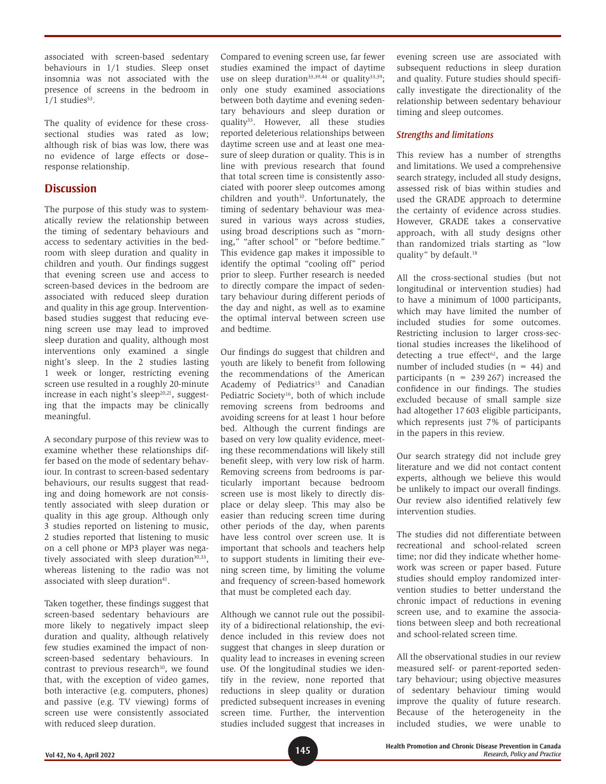associated with screen-based sedentary behaviours in 1/1 studies. Sleep onset insomnia was not associated with the presence of screens in the bedroom in  $1/1$  studies<sup>53</sup>.

The quality of evidence for these crosssectional studies was rated as low; although risk of bias was low, there was no evidence of large effects or dose– response relationship.

# **Discussion**

The purpose of this study was to systematically review the relationship between the timing of sedentary behaviours and access to sedentary activities in the bedroom with sleep duration and quality in children and youth. Our findings suggest that evening screen use and access to screen-based devices in the bedroom are associated with reduced sleep duration and quality in this age group. Interventionbased studies suggest that reducing evening screen use may lead to improved sleep duration and quality, although most interventions only examined a single night's sleep. In the 2 studies lasting 1 week or longer, restricting evening screen use resulted in a roughly 20-minute increase in each night's sleep $20,21$ , suggesting that the impacts may be clinically meaningful.

A secondary purpose of this review was to examine whether these relationships differ based on the mode of sedentary behaviour. In contrast to screen-based sedentary behaviours, our results suggest that reading and doing homework are not consistently associated with sleep duration or quality in this age group. Although only 3 studies reported on listening to music, 2 studies reported that listening to music on a cell phone or MP3 player was negatively associated with sleep duration $30,33$ , whereas listening to the radio was not associated with sleep duration<sup>41</sup>.

Taken together, these findings suggest that screen-based sedentary behaviours are more likely to negatively impact sleep duration and quality, although relatively few studies examined the impact of nonscreen-based sedentary behaviours. In contrast to previous research $10$ , we found that, with the exception of video games, both interactive (e.g. computers, phones) and passive (e.g. TV viewing) forms of screen use were consistently associated with reduced sleep duration.

Compared to evening screen use, far fewer studies examined the impact of daytime use on sleep duration<sup>33,39,44</sup> or quality<sup>33,39</sup>; only one study examined associations between both daytime and evening sedentary behaviours and sleep duration or quality<sup>33</sup>. However, all these studies reported deleterious relationships between daytime screen use and at least one measure of sleep duration or quality. This is in line with previous research that found that total screen time is consistently associated with poorer sleep outcomes among children and youth $10$ . Unfortunately, the timing of sedentary behaviour was measured in various ways across studies, using broad descriptions such as "morning," "after school" or "before bedtime." This evidence gap makes it impossible to identify the optimal "cooling off" period prior to sleep. Further research is needed to directly compare the impact of sedentary behaviour during different periods of the day and night, as well as to examine the optimal interval between screen use and bedtime.

Our findings do suggest that children and youth are likely to benefit from following the recommendations of the American Academy of Pediatrics<sup>15</sup> and Canadian Pediatric Society<sup>16</sup>, both of which include removing screens from bedrooms and avoiding screens for at least 1 hour before bed. Although the current findings are based on very low quality evidence, meeting these recommendations will likely still benefit sleep, with very low risk of harm. Removing screens from bedrooms is particularly important because bedroom screen use is most likely to directly displace or delay sleep. This may also be easier than reducing screen time during other periods of the day, when parents have less control over screen use. It is important that schools and teachers help to support students in limiting their evening screen time, by limiting the volume and frequency of screen-based homework that must be completed each day.

Although we cannot rule out the possibility of a bidirectional relationship, the evidence included in this review does not suggest that changes in sleep duration or quality lead to increases in evening screen use. Of the longitudinal studies we identify in the review, none reported that reductions in sleep quality or duration predicted subsequent increases in evening screen time. Further, the intervention studies included suggest that increases in evening screen use are associated with subsequent reductions in sleep duration and quality. Future studies should specifically investigate the directionality of the relationship between sedentary behaviour timing and sleep outcomes.

# *Strengths and limitations*

This review has a number of strengths and limitations. We used a comprehensive search strategy, included all study designs, assessed risk of bias within studies and used the GRADE approach to determine the certainty of evidence across studies. However, GRADE takes a conservative approach, with all study designs other than randomized trials starting as "low quality" by default.18

All the cross-sectional studies (but not longitudinal or intervention studies) had to have a minimum of 1000 participants, which may have limited the number of included studies for some outcomes. Restricting inclusion to larger cross-sectional studies increases the likelihood of detecting a true effect $62$ , and the large number of included studies  $(n = 44)$  and participants ( $n = 239267$ ) increased the confidence in our findings. The studies excluded because of small sample size had altogether 17 603 eligible participants, which represents just 7% of participants in the papers in this review.

Our search strategy did not include grey literature and we did not contact content experts, although we believe this would be unlikely to impact our overall findings. Our review also identified relatively few intervention studies.

The studies did not differentiate between recreational and school-related screen time; nor did they indicate whether homework was screen or paper based. Future studies should employ randomized intervention studies to better understand the chronic impact of reductions in evening screen use, and to examine the associations between sleep and both recreational and school-related screen time.

All the observational studies in our review measured self- or parent-reported sedentary behaviour; using objective measures of sedentary behaviour timing would improve the quality of future research. Because of the heterogeneity in the included studies, we were unable to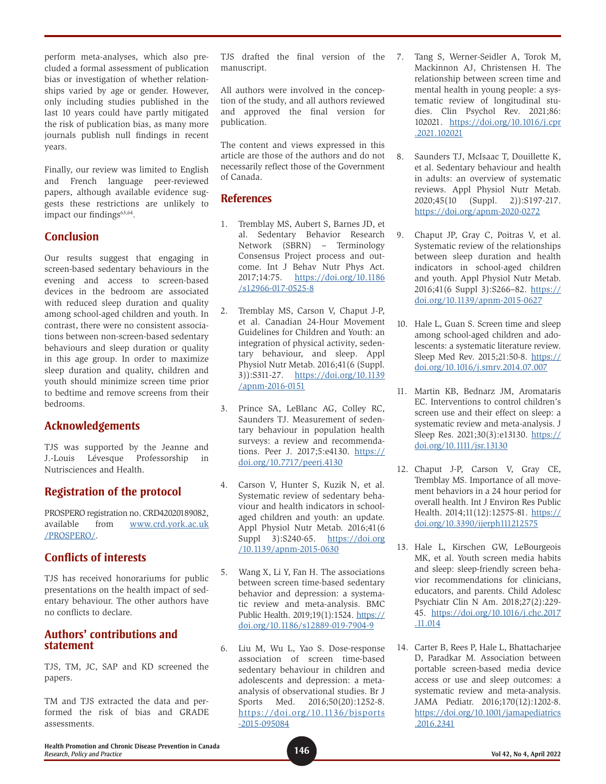perform meta-analyses, which also precluded a formal assessment of publication bias or investigation of whether relationships varied by age or gender. However, only including studies published in the last 10 years could have partly mitigated the risk of publication bias, as many more journals publish null findings in recent years.

Finally, our review was limited to English and French language peer-reviewed papers, although available evidence suggests these restrictions are unlikely to impact our findings<sup>63,64</sup>.

# **Conclusion**

Our results suggest that engaging in screen-based sedentary behaviours in the evening and access to screen-based devices in the bedroom are associated with reduced sleep duration and quality among school-aged children and youth. In contrast, there were no consistent associations between non-screen-based sedentary behaviours and sleep duration or quality in this age group. In order to maximize sleep duration and quality, children and youth should minimize screen time prior to bedtime and remove screens from their bedrooms.

# **Acknowledgements**

TJS was supported by the Jeanne and J.-Louis Lévesque Professorship in Nutrisciences and Health.

# **Registration of the protocol**

PROSPERO registration no. CRD42020189082, available from [www.crd.york.ac.uk](http://www.crd.york.ac.uk/PROSPERO/) [/PROSPERO/](http://www.crd.york.ac.uk/PROSPERO/).

# **Conflicts of interests**

TJS has received honorariums for public presentations on the health impact of sedentary behaviour. The other authors have no conflicts to declare.

# **Authors' contributions and statement**

TJS, TM, JC, SAP and KD screened the papers.

TM and TJS extracted the data and performed the risk of bias and GRADE assessments.

TJS drafted the final version of the 7. manuscript.

All authors were involved in the conception of the study, and all authors reviewed and approved the final version for publication.

The content and views expressed in this article are those of the authors and do not necessarily reflect those of the Government of Canada.

# **References**

- 1. Tremblay MS, Aubert S, Barnes JD, et al. Sedentary Behavior Research Network (SBRN) – Terminology Consensus Project process and outcome. Int J Behav Nutr Phys Act. 2017;14:75. [https://doi.org/10.1186](https://doi.org/10.1186/s12966-017-0525-8) [/s12966-017-0525-8](https://doi.org/10.1186/s12966-017-0525-8)
- 2. Tremblay MS, Carson V, Chaput J-P, et al. Canadian 24-Hour Movement Guidelines for Children and Youth: an integration of physical activity, sedentary behaviour, and sleep. Appl Physiol Nutr Metab. 2016;41(6 (Suppl. 3)):S311-27. [https://doi.org/10.1139](https://doi.org/10.1139/apnm-2016-0151) [/apnm-2016-0151](https://doi.org/10.1139/apnm-2016-0151)
- 3. Prince SA, LeBlanc AG, Colley RC, Saunders TJ. Measurement of sedentary behaviour in population health surveys: a review and recommendations. Peer J. 2017;5:e4130. [https://](https://doi.org/10.7717/peerj.4130) [doi.org/10.7717/peerj.4130](https://doi.org/10.7717/peerj.4130)
- 4. Carson V, Hunter S, Kuzik N, et al. Systematic review of sedentary behaviour and health indicators in schoolaged children and youth: an update. Appl Physiol Nutr Metab. 2016;41(6 Suppl 3):S240-65. [https://doi.org](https://doi.org/10.1139/apnm-2015-0630) [/10.1139/apnm-2015-0630](https://doi.org/10.1139/apnm-2015-0630)
- 5. Wang X, Li Y, Fan H. The associations between screen time-based sedentary behavior and depression: a systematic review and meta-analysis. BMC Public Health. 2019;19(1):1524. [https://](https://doi.org/10.1186/s12889-019-7904-9) [doi.org/10.1186/s12889-019-7904-9](https://doi.org/10.1186/s12889-019-7904-9)
- 6. Liu M, Wu L, Yao S. Dose-response association of screen time-based sedentary behaviour in children and adolescents and depression: a metaanalysis of observational studies. Br J Sports Med. 2016;50(20):1252-8. [https://doi.org/10.1136/bjsports](https://doi.org/10.1136/bjsports-2015-095084) [-2015-095084](https://doi.org/10.1136/bjsports-2015-095084)
- Tang S, Werner-Seidler A, Torok M, Mackinnon AJ, Christensen H. The relationship between screen time and mental health in young people: a systematic review of longitudinal studies. Clin Psychol Rev. 2021;86: 102021. [https://doi.org/10.1016/j.cpr](https://doi.org/10.1016/j.cpr.2021.102021) [.2021.102021](https://doi.org/10.1016/j.cpr.2021.102021)
- 8. Saunders TJ, McIsaac T, Douillette K, et al. Sedentary behaviour and health in adults: an overview of systematic reviews. Appl Physiol Nutr Metab. 2020;45(10 (Suppl. 2)):S197-217. <https://doi.org/apnm-2020-0272>
- 9. Chaput JP, Gray C, Poitras V, et al. Systematic review of the relationships between sleep duration and health indicators in school-aged children and youth. Appl Physiol Nutr Metab. 2016;41(6 Suppl 3):S266–82. [https://](https://doi.org/10.1139/apnm-2015-0627) [doi.org/10.1139/apnm-2015-0627](https://doi.org/10.1139/apnm-2015-0627)
- 10. Hale L, Guan S. Screen time and sleep among school-aged children and adolescents: a systematic literature review. Sleep Med Rev. 2015;21:50-8. [https://](https://doi.org/10.1016/j.smrv.2014.07.007) [doi.org/10.1016/j.smrv.2014.07.007](https://doi.org/10.1016/j.smrv.2014.07.007)
- 11. Martin KB, Bednarz JM, Aromataris EC. Interventions to control children's screen use and their effect on sleep: a systematic review and meta-analysis. J Sleep Res. 2021;30(3):e13130. [https://](https://doi.org/10.1111/jsr.13130) [doi.org/10.1111/jsr.13130](https://doi.org/10.1111/jsr.13130)
- 12. Chaput J-P, Carson V, Gray CE, Tremblay MS. Importance of all movement behaviors in a 24 hour period for overall health. Int J Environ Res Public Health. 2014;11(12):12575-81. [https://](https://doi.org/10.3390/ijerph111212575) [doi.org/10.3390/ijerph111212575](https://doi.org/10.3390/ijerph111212575)
- 13. Hale L, Kirschen GW, LeBourgeois MK, et al. Youth screen media habits and sleep: sleep-friendly screen behavior recommendations for clinicians, educators, and parents. Child Adolesc Psychiatr Clin N Am. 2018;27(2):229- 45. [https://doi.org/10.1016/j.chc.2017](https://doi.org/10.1016/j.chc.2017.11.014) [.11.014](https://doi.org/10.1016/j.chc.2017.11.014)
- 14. Carter B, Rees P, Hale L, Bhattacharjee D, Paradkar M. Association between portable screen-based media device access or use and sleep outcomes: a systematic review and meta-analysis. JAMA Pediatr. 2016;170(12):1202-8. [https://doi.org/10.1001/jamapediatrics](https://doi.org/10.1001/jamapediatrics.2016.2341) [.2016.2341](https://doi.org/10.1001/jamapediatrics.2016.2341)

**146 Health Promotion and Chronic Disease Prevention in Canada**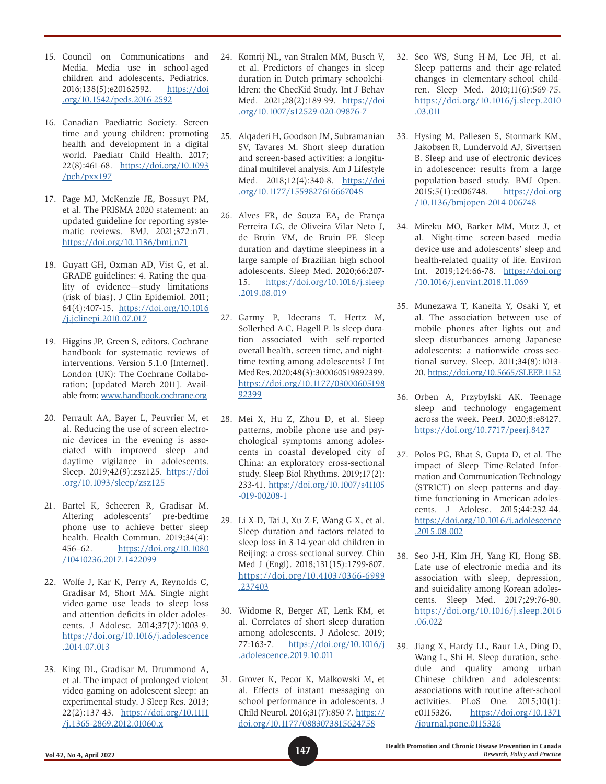- 15. Council on Communications and Media. Media use in school-aged children and adolescents. Pediatrics. 2016;138(5):e20162592. [https://doi](https://doi.org/10.1542/peds.2016-2592) [.org/10.1542/peds.2016-2592](https://doi.org/10.1542/peds.2016-2592)
- 16. Canadian Paediatric Society. Screen time and young children: promoting health and development in a digital world. Paediatr Child Health. 2017; 22(8):461-68. [https://doi.org/10.1093](https://doi.org/10.1093/pch/pxx197) [/pch/pxx197](https://doi.org/10.1093/pch/pxx197)
- 17. Page MJ, McKenzie JE, Bossuyt PM, et al. The PRISMA 2020 statement: an updated guideline for reporting systematic reviews. BMJ. 2021;372:n71. <https://doi.org/10.1136/bmj.n71>
- 18. Guyatt GH, Oxman AD, Vist G, et al. GRADE guidelines: 4. Rating the quality of evidence—study limitations (risk of bias). J Clin Epidemiol. 2011; 64(4):407-15. [https://doi.org/10.1016](https://doi.org/10.1016/j.jclinepi.2010.07.017) [/j.jclinepi.2010.07.017](https://doi.org/10.1016/j.jclinepi.2010.07.017)
- 19. Higgins JP, Green S, editors. Cochrane handbook for systematic reviews of interventions. Version 5.1.0 [Internet]. London (UK): The Cochrane Collaboration; [updated March 2011]. Available from: [www.handbook.cochrane.org](http://www.handbook.cochrane.org)
- 20. Perrault AA, Bayer L, Peuvrier M, et al. Reducing the use of screen electronic devices in the evening is associated with improved sleep and daytime vigilance in adolescents. Sleep. 2019;42(9):zsz125. [https://doi](https://doi.org/10.1093/sleep/zsz125) [.org/10.1093/sleep/zsz125](https://doi.org/10.1093/sleep/zsz125)
- 21. Bartel K, Scheeren R, Gradisar M. Altering adolescents' pre-bedtime phone use to achieve better sleep health. Health Commun. 2019;34(4): 456–62. [https://doi.org/10.1080](https://doi.org/10.1080/10410236.2017.1422099) [/10410236.2017.1422099](https://doi.org/10.1080/10410236.2017.1422099)
- 22. Wolfe J, Kar K, Perry A, Reynolds C, Gradisar M, Short MA. Single night video-game use leads to sleep loss and attention deficits in older adolescents. J Adolesc. 2014;37(7):1003-9. [https://doi.org/10.1016/j.adolescence](https://doi.org/10.1016/j.adolescence.2014.07.013) [.2014.07.013](https://doi.org/10.1016/j.adolescence.2014.07.013)
- 23. King DL, Gradisar M, Drummond A, et al. The impact of prolonged violent video-gaming on adolescent sleep: an experimental study. J Sleep Res. 2013; 22(2):137-43. [https://doi.org/10.1111](https://doi.org/10.1111/j.1365-2869.2012.01060.x ) [/j.1365-2869.2012.01060.x](https://doi.org/10.1111/j.1365-2869.2012.01060.x )
- 24. Komrij NL, van Stralen MM, Busch V, et al. Predictors of changes in sleep duration in Dutch primary schoolchildren: the ChecKid Study. Int J Behav Med. 2021;28(2):189-99. [https://doi](https://doi.org/10.1007/s12529-020-09876-7) [.org/10.1007/s12529-020-09876-7](https://doi.org/10.1007/s12529-020-09876-7)
- 25. Alqaderi H, Goodson JM, Subramanian SV, Tavares M. Short sleep duration and screen-based activities: a longitudinal multilevel analysis. Am J Lifestyle Med. 2018;12(4):340-8. [https://doi](https://doi.org/10.1177/1559827616667048) [.org/10.1177/1559827616667048](https://doi.org/10.1177/1559827616667048)
- 26. Alves FR, de Souza EA, de França Ferreira LG, de Oliveira Vilar Neto J, de Bruin VM, de Bruin PF. Sleep duration and daytime sleepiness in a large sample of Brazilian high school adolescents. Sleep Med. 2020;66:207- 15. [https://doi.org/10.1016/j.sleep](https://doi.org/10.1016/j.sleep.2019.08.019) [.2019.08.019](https://doi.org/10.1016/j.sleep.2019.08.019)
- 27. Garmy P, Idecrans T, Hertz M, Sollerhed A-C, Hagell P. Is sleep duration associated with self-reported overall health, screen time, and nighttime texting among adolescents? J Int Med Res. 2020;48(3):300060519892399. [https://doi.org/10.1177/03000605198](https://doi.org/10.1177/0300060519892399) [92399](https://doi.org/10.1177/0300060519892399)
- 28. Mei X, Hu Z, Zhou D, et al. Sleep patterns, mobile phone use and psychological symptoms among adolescents in coastal developed city of China: an exploratory cross-sectional study. Sleep Biol Rhythms. 2019;17(2): 233-41. [https://doi.org/10.1007/s41105](https://doi.org/10.1007/s41105-019-00208-1) [-019-00208-1](https://doi.org/10.1007/s41105-019-00208-1)
- 29. Li X-D, Tai J, Xu Z-F, Wang G-X, et al. Sleep duration and factors related to sleep loss in 3-14-year-old children in Beijing: a cross-sectional survey. Chin Med J (Engl). 2018;131(15):1799-807. [https://doi.org/10.4103/0366-6999](https://doi.org/10.4103/0366-6999.237403) [.237403](https://doi.org/10.4103/0366-6999.237403)
- 30. Widome R, Berger AT, Lenk KM, et al. Correlates of short sleep duration among adolescents. J Adolesc. 2019; 77:163-7. [https://doi.org/10.1016/j](https://doi.org/10.1016/j.adolescence.2019.10.011) [.adolescence.2019.10.011](https://doi.org/10.1016/j.adolescence.2019.10.011)
- 31. Grover K, Pecor K, Malkowski M, et al. Effects of instant messaging on school performance in adolescents. J Child Neurol. 2016;31(7):850-7. [https://](https://doi.org/10.1177/0883073815624758) [doi.org/10.1177/0883073815624758](https://doi.org/10.1177/0883073815624758)
- 32. Seo WS, Sung H-M, Lee JH, et al. Sleep patterns and their age-related changes in elementary-school children. Sleep Med. 2010;11(6):569-75. [https://doi.org/10.1016/j.sleep.2010](https://doi.org/10.1016/j.sleep.2010.03.011) [.03.011](https://doi.org/10.1016/j.sleep.2010.03.011)
- 33. Hysing M, Pallesen S, Stormark KM, Jakobsen R, Lundervold AJ, Sivertsen B. Sleep and use of electronic devices in adolescence: results from a large population-based study. BMJ Open. 2015;5(1):e006748. [https://doi.org](https://doi.org/10.1136/bmjopen-2014-006748) [/10.1136/bmjopen-2014-006748](https://doi.org/10.1136/bmjopen-2014-006748)
- 34. Mireku MO, Barker MM, Mutz J, et al. Night-time screen-based media device use and adolescents' sleep and health-related quality of life. Environ Int. 2019;124:66-78. [https://doi.org](https://doi.org/10.1016/j.envint.2018.11.069) [/10.1016/j.envint.2018.11.069](https://doi.org/10.1016/j.envint.2018.11.069)
- 35. Munezawa T, Kaneita Y, Osaki Y, et al. The association between use of mobile phones after lights out and sleep disturbances among Japanese adolescents: a nationwide cross-sectional survey. Sleep. 2011;34(8):1013- 20.<https://doi.org/10.5665/SLEEP.1152>
- 36. Orben A, Przybylski AK. Teenage sleep and technology engagement across the week. PeerJ. 2020;8:e8427. <https://doi.org/10.7717/peerj.8427>
- 37. Polos PG, Bhat S, Gupta D, et al. The impact of Sleep Time-Related Information and Communication Technology (STRICT) on sleep patterns and daytime functioning in American adolescents. J Adolesc. 2015;44:232-44. [https://doi.org/10.1016/j.adolescence](https://doi.org/10.1016/j.adolescence.2015.08.002) [.2015.08.002](https://doi.org/10.1016/j.adolescence.2015.08.002)
- 38. Seo J-H, Kim JH, Yang KI, Hong SB. Late use of electronic media and its association with sleep, depression, and suicidality among Korean adolescents. Sleep Med. 2017;29:76-80. [https://doi.org/10.1016/j.sleep.2016](https://doi.org/10.1016/j.sleep.2016.06.02) [.06.022](https://doi.org/10.1016/j.sleep.2016.06.02)
- 39. Jiang X, Hardy LL, Baur LA, Ding D, Wang L, Shi H. Sleep duration, schedule and quality among urban Chinese children and adolescents: associations with routine after-school activities. PLoS One. 2015;10(1): e0115326. [https://doi.org/10.1371](https://doi.org/10.1371/journal.pone.0115326) [/journal.pone.0115326](https://doi.org/10.1371/journal.pone.0115326)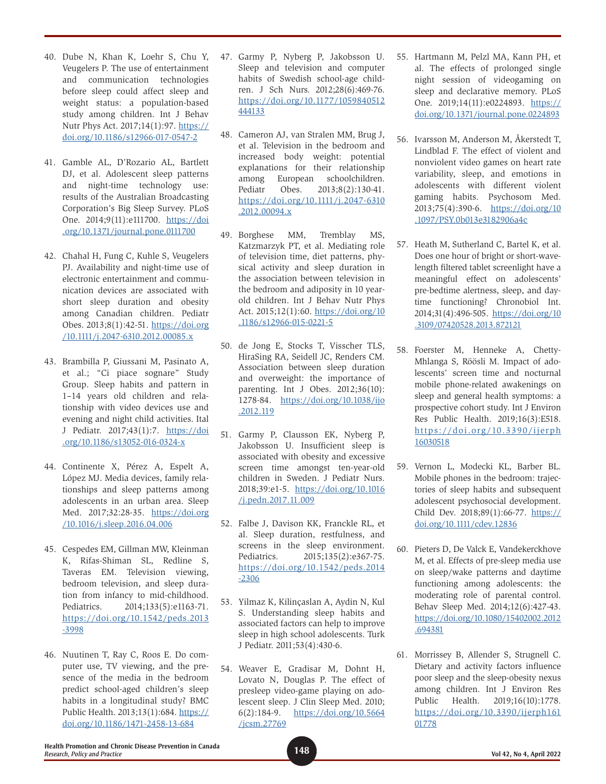- 40. Dube N, Khan K, Loehr S, Chu Y, Veugelers P. The use of entertainment and communication technologies before sleep could affect sleep and weight status: a population-based study among children. Int J Behav Nutr Phys Act. 2017;14(1):97. [https://](https://doi.org/10.1186/s12966-017-0547-2) [doi.org/10.1186/s12966-017-0547-2](https://doi.org/10.1186/s12966-017-0547-2)
- 41. Gamble AL, D'Rozario AL, Bartlett DJ, et al. Adolescent sleep patterns and night-time technology use: results of the Australian Broadcasting Corporation's Big Sleep Survey. PLoS One. 2014;9(11):e111700. [https://doi](https://doi.org/10.1371/journal.pone.0111700) [.org/10.1371/journal.pone.0111700](https://doi.org/10.1371/journal.pone.0111700)
- 42. Chahal H, Fung C, Kuhle S, Veugelers PJ. Availability and night-time use of electronic entertainment and communication devices are associated with short sleep duration and obesity among Canadian children. Pediatr Obes. 2013;8(1):42-51. [https://doi.org](https://doi.org/10.1111/j.2047-6310.2012.00085.x) [/10.1111/j.2047-6310.2012.00085.x](https://doi.org/10.1111/j.2047-6310.2012.00085.x)
- 43. Brambilla P, Giussani M, Pasinato A, et al.; "Ci piace sognare" Study Group. Sleep habits and pattern in 1–14 years old children and relationship with video devices use and evening and night child activities. Ital J Pediatr. 2017;43(1):7. [https://doi](https://doi.org/10.1186/s13052-016-0324-x) [.org/10.1186/s13052-016-0324-x](https://doi.org/10.1186/s13052-016-0324-x)
- 44. Continente X, Pérez A, Espelt A, López MJ. Media devices, family relationships and sleep patterns among adolescents in an urban area. Sleep Med. 2017;32:28-35. [https://doi.org](https://doi.org/10.1016/j.sleep.2016.04.006) [/10.1016/j.sleep.2016.04.006](https://doi.org/10.1016/j.sleep.2016.04.006)
- 45. Cespedes EM, Gillman MW, Kleinman K, Rifas-Shiman SL, Redline S, Taveras EM. Television viewing, bedroom television, and sleep duration from infancy to mid-childhood. Pediatrics. 2014;133(5):e1163-71. [https://doi.org/10.1542/peds.2013](https://doi.org/10.1542/peds.2013-3998) [-3998](https://doi.org/10.1542/peds.2013-3998)
- 46. Nuutinen T, Ray C, Roos E. Do computer use, TV viewing, and the presence of the media in the bedroom predict school-aged children's sleep habits in a longitudinal study? BMC Public Health. 2013;13(1):684. [https://](https://doi.org/10.1186/1471-2458-13-684) [doi.org/10.1186/1471-2458-13-684](https://doi.org/10.1186/1471-2458-13-684)
- 47. Garmy P, Nyberg P, Jakobsson U. Sleep and television and computer habits of Swedish school-age children. J Sch Nurs. 2012;28(6):469-76. [https://doi.org/10.1177/1059840512](https://doi.org/10.1177/1059840512444133) [444133](https://doi.org/10.1177/1059840512444133)
- 48. Cameron AJ, van Stralen MM, Brug J, et al. Television in the bedroom and increased body weight: potential explanations for their relationship among European schoolchildren. Pediatr Obes. 2013;8(2):130-41. [https://doi.org/10.1111/j.2047-6310](https://doi.org/10.1111/j.2047-6310.2012.00094.x) [.2012.00094.x](https://doi.org/10.1111/j.2047-6310.2012.00094.x)
- 49. Borghese MM, Tremblay MS, Katzmarzyk PT, et al. Mediating role of television time, diet patterns, physical activity and sleep duration in the association between television in the bedroom and adiposity in 10 yearold children. Int J Behav Nutr Phys Act. 2015;12(1):60. [https://doi.org/10](https://doi.org/10.1186/s12966-015-0221-5) [.1186/s12966-015-0221-5](https://doi.org/10.1186/s12966-015-0221-5)
- 50. de Jong E, Stocks T, Visscher TLS, HiraSing RA, Seidell JC, Renders CM. Association between sleep duration and overweight: the importance of parenting. Int J Obes. 2012;36(10): 1278-84. [https://doi.org/10.1038/ijo](https://doi.org/10.1038/ijo.2012.119) [.2012.119](https://doi.org/10.1038/ijo.2012.119)
- 51. Garmy P, Clausson EK, Nyberg P, Jakobsson U. Insufficient sleep is associated with obesity and excessive screen time amongst ten-year-old children in Sweden. J Pediatr Nurs. 2018;39:e1-5. [https://doi.org/10.1016](https://doi.org/10.1016/j.pedn.2017.11.009) [/j.pedn.2017.11.009](https://doi.org/10.1016/j.pedn.2017.11.009)
- 52. Falbe J, Davison KK, Franckle RL, et al. Sleep duration, restfulness, and screens in the sleep environment. Pediatrics. 2015;135(2):e367-75. [https://doi.org/10.1542/peds.2014](https://doi.org/10.1542/peds.2014-2306) [-2306](https://doi.org/10.1542/peds.2014-2306)
- 53. Yilmaz K, Kilinçaslan A, Aydin N, Kul S. Understanding sleep habits and associated factors can help to improve sleep in high school adolescents. Turk J Pediatr. 2011;53(4):430-6.
- 54. Weaver E, Gradisar M, Dohnt H, Lovato N, Douglas P. The effect of presleep video-game playing on adolescent sleep. J Clin Sleep Med. 2010; 6(2):184-9. [https://doi.org/10.5664](https://doi.org/10.5664/jcsm.27769) [/jcsm.27769](https://doi.org/10.5664/jcsm.27769)
- 55. Hartmann M, Pelzl MA, Kann PH, et al. The effects of prolonged single night session of videogaming on sleep and declarative memory. PLoS One. 2019;14(11):e0224893. [https://](https://doi.org/10.1371/journal.pone.0224893) [doi.org/10.1371/journal.pone.0224893](https://doi.org/10.1371/journal.pone.0224893)
- 56. Ivarsson M, Anderson M, Åkerstedt T, Lindblad F. The effect of violent and nonviolent video games on heart rate variability, sleep, and emotions in adolescents with different violent gaming habits. Psychosom Med. 2013;75(4):390-6. [https://doi.org/10](https://doi.org/10.1097/PSY.0b013e3182906a4c) [.1097/PSY.0b013e3182906a4c](https://doi.org/10.1097/PSY.0b013e3182906a4c)
- 57. Heath M, Sutherland C, Bartel K, et al. Does one hour of bright or short-wavelength filtered tablet screenlight have a meaningful effect on adolescents' pre-bedtime alertness, sleep, and daytime functioning? Chronobiol Int. 2014;31(4):496-505. [https://doi.org/10](https://doi.org/10.3109/07420528.2013.872121) [.3109/07420528.2013.872121](https://doi.org/10.3109/07420528.2013.872121)
- 58. Foerster M, Henneke A, Chetty-Mhlanga S, Röösli M. Impact of adolescents' screen time and nocturnal mobile phone-related awakenings on sleep and general health symptoms: a prospective cohort study. Int J Environ Res Public Health. 2019;16(3):E518. [https://doi.org/10.3390/ijerph](https://doi.org/10.3390/ijerph16030518) [16030518](https://doi.org/10.3390/ijerph16030518)
- 59. Vernon L, Modecki KL, Barber BL. Mobile phones in the bedroom: trajectories of sleep habits and subsequent adolescent psychosocial development. Child Dev. 2018;89(1):66-77. [https://](https://doi.org/10.1111/cdev.12836) [doi.org/10.1111/cdev.12836](https://doi.org/10.1111/cdev.12836)
- 60. Pieters D, De Valck E, Vandekerckhove M, et al. Effects of pre-sleep media use on sleep/wake patterns and daytime functioning among adolescents: the moderating role of parental control. Behav Sleep Med. 2014;12(6):427-43. [https://doi.org/10.1080/15402002.2012](https://doi.org/10.1080/15402002.2012.694381) [.694381](https://doi.org/10.1080/15402002.2012.694381)
- 61. Morrissey B, Allender S, Strugnell C. Dietary and activity factors influence poor sleep and the sleep-obesity nexus among children. Int J Environ Res Public Health. 2019;16(10):1778. [https://doi.org/10.3390/ijerph161](https://doi.org/10.3390/ijerph16101778) [01778](https://doi.org/10.3390/ijerph16101778)